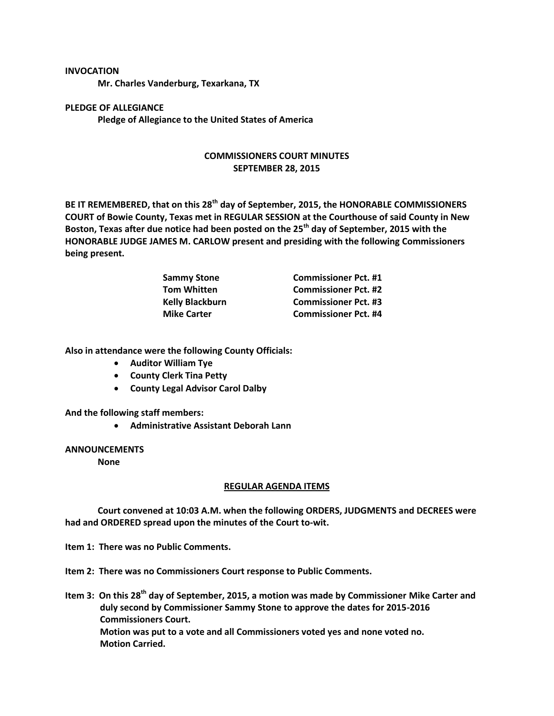## **INVOCATION**

**Mr. Charles Vanderburg, Texarkana, TX**

**PLEDGE OF ALLEGIANCE Pledge of Allegiance to the United States of America**

## **COMMISSIONERS COURT MINUTES SEPTEMBER 28, 2015**

**BE IT REMEMBERED, that on this 28th day of September, 2015, the HONORABLE COMMISSIONERS COURT of Bowie County, Texas met in REGULAR SESSION at the Courthouse of said County in New Boston, Texas after due notice had been posted on the 25th day of September, 2015 with the HONORABLE JUDGE JAMES M. CARLOW present and presiding with the following Commissioners being present.**

| <b>Sammy Stone</b>     | <b>Commissioner Pct. #1</b> |
|------------------------|-----------------------------|
| <b>Tom Whitten</b>     | <b>Commissioner Pct. #2</b> |
| <b>Kelly Blackburn</b> | <b>Commissioner Pct. #3</b> |
| <b>Mike Carter</b>     | <b>Commissioner Pct. #4</b> |

**Also in attendance were the following County Officials:**

- **Auditor William Tye**
- **County Clerk Tina Petty**
- **County Legal Advisor Carol Dalby**

**And the following staff members:**

**Administrative Assistant Deborah Lann**

**ANNOUNCEMENTS**

**None**

## **REGULAR AGENDA ITEMS**

**Court convened at 10:03 A.M. when the following ORDERS, JUDGMENTS and DECREES were had and ORDERED spread upon the minutes of the Court to-wit.**

**Item 1: There was no Public Comments.**

**Item 2: There was no Commissioners Court response to Public Comments.**

**Item 3: On this 28th day of September, 2015, a motion was made by Commissioner Mike Carter and duly second by Commissioner Sammy Stone to approve the dates for 2015-2016 Commissioners Court. Motion was put to a vote and all Commissioners voted yes and none voted no. Motion Carried.**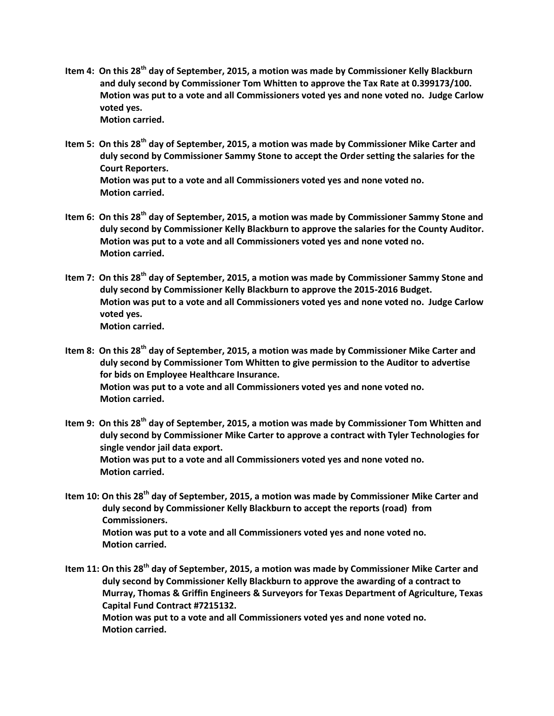- **Item 4: On this 28th day of September, 2015, a motion was made by Commissioner Kelly Blackburn and duly second by Commissioner Tom Whitten to approve the Tax Rate at 0.399173/100. Motion was put to a vote and all Commissioners voted yes and none voted no. Judge Carlow voted yes. Motion carried.**
- **Item 5: On this 28th day of September, 2015, a motion was made by Commissioner Mike Carter and duly second by Commissioner Sammy Stone to accept the Order setting the salaries for the Court Reporters. Motion was put to a vote and all Commissioners voted yes and none voted no. Motion carried.**
- **Item 6: On this 28th day of September, 2015, a motion was made by Commissioner Sammy Stone and duly second by Commissioner Kelly Blackburn to approve the salaries for the County Auditor. Motion was put to a vote and all Commissioners voted yes and none voted no. Motion carried.**
- **Item 7: On this 28th day of September, 2015, a motion was made by Commissioner Sammy Stone and duly second by Commissioner Kelly Blackburn to approve the 2015-2016 Budget. Motion was put to a vote and all Commissioners voted yes and none voted no. Judge Carlow voted yes. Motion carried.**
- **Item 8: On this 28th day of September, 2015, a motion was made by Commissioner Mike Carter and duly second by Commissioner Tom Whitten to give permission to the Auditor to advertise for bids on Employee Healthcare Insurance. Motion was put to a vote and all Commissioners voted yes and none voted no. Motion carried.**
- **Item 9: On this 28th day of September, 2015, a motion was made by Commissioner Tom Whitten and duly second by Commissioner Mike Carter to approve a contract with Tyler Technologies for single vendor jail data export. Motion was put to a vote and all Commissioners voted yes and none voted no. Motion carried.**
- **Item 10: On this 28th day of September, 2015, a motion was made by Commissioner Mike Carter and duly second by Commissioner Kelly Blackburn to accept the reports (road) from Commissioners. Motion was put to a vote and all Commissioners voted yes and none voted no. Motion carried.**
- **Item 11: On this 28th day of September, 2015, a motion was made by Commissioner Mike Carter and duly second by Commissioner Kelly Blackburn to approve the awarding of a contract to Murray, Thomas & Griffin Engineers & Surveyors for Texas Department of Agriculture, Texas Capital Fund Contract #7215132. Motion was put to a vote and all Commissioners voted yes and none voted no. Motion carried.**